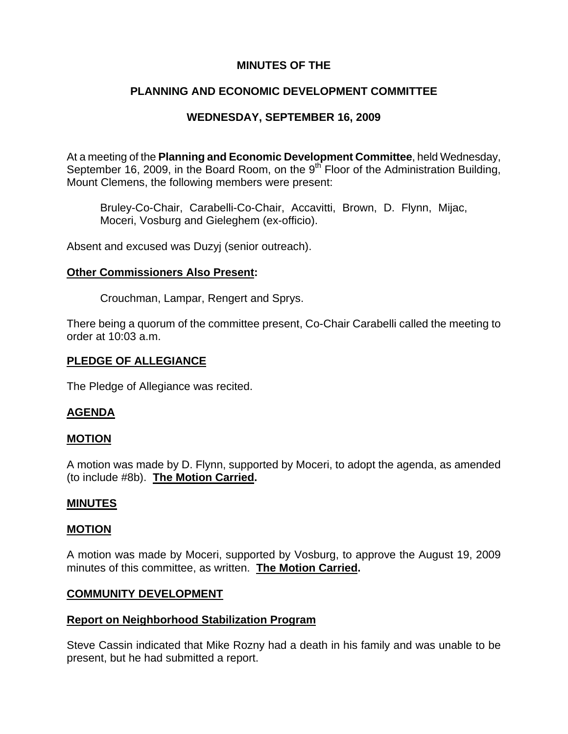# **MINUTES OF THE**

## **PLANNING AND ECONOMIC DEVELOPMENT COMMITTEE**

## **WEDNESDAY, SEPTEMBER 16, 2009**

At a meeting of the **Planning and Economic Development Committee**, held Wednesday, September 16, 2009, in the Board Room, on the 9<sup>th</sup> Floor of the Administration Building, Mount Clemens, the following members were present:

Bruley-Co-Chair, Carabelli-Co-Chair, Accavitti, Brown, D. Flynn, Mijac, Moceri, Vosburg and Gieleghem (ex-officio).

Absent and excused was Duzyj (senior outreach).

### **Other Commissioners Also Present:**

Crouchman, Lampar, Rengert and Sprys.

There being a quorum of the committee present, Co-Chair Carabelli called the meeting to order at 10:03 a.m.

### **PLEDGE OF ALLEGIANCE**

The Pledge of Allegiance was recited.

## **AGENDA**

### **MOTION**

A motion was made by D. Flynn, supported by Moceri, to adopt the agenda, as amended (to include #8b). **The Motion Carried.** 

### **MINUTES**

### **MOTION**

A motion was made by Moceri, supported by Vosburg, to approve the August 19, 2009 minutes of this committee, as written. **The Motion Carried.** 

### **COMMUNITY DEVELOPMENT**

### **Report on Neighborhood Stabilization Program**

Steve Cassin indicated that Mike Rozny had a death in his family and was unable to be present, but he had submitted a report.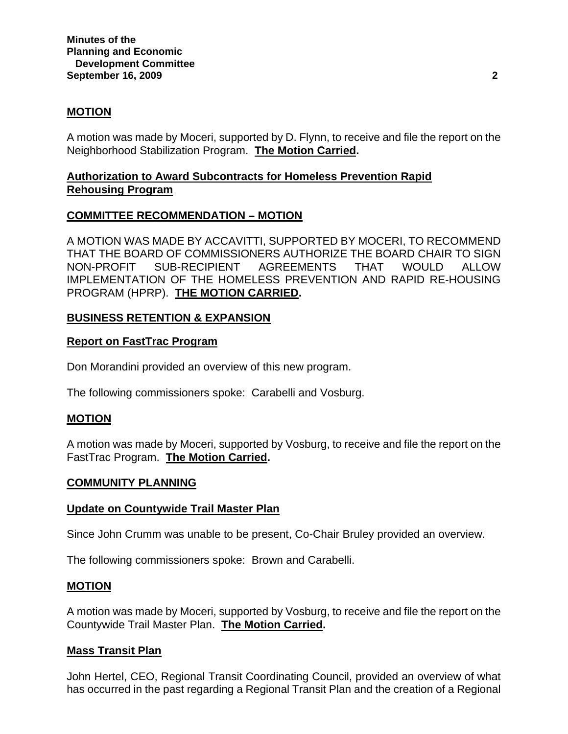## **MOTION**

A motion was made by Moceri, supported by D. Flynn, to receive and file the report on the Neighborhood Stabilization Program. **The Motion Carried.** 

## **Authorization to Award Subcontracts for Homeless Prevention Rapid Rehousing Program**

## **COMMITTEE RECOMMENDATION – MOTION**

A MOTION WAS MADE BY ACCAVITTI, SUPPORTED BY MOCERI, TO RECOMMEND THAT THE BOARD OF COMMISSIONERS AUTHORIZE THE BOARD CHAIR TO SIGN NON-PROFIT SUB-RECIPIENT AGREEMENTS THAT WOULD ALLOW IMPLEMENTATION OF THE HOMELESS PREVENTION AND RAPID RE-HOUSING PROGRAM (HPRP). **THE MOTION CARRIED.** 

## **BUSINESS RETENTION & EXPANSION**

### **Report on FastTrac Program**

Don Morandini provided an overview of this new program.

The following commissioners spoke: Carabelli and Vosburg.

### **MOTION**

A motion was made by Moceri, supported by Vosburg, to receive and file the report on the FastTrac Program. **The Motion Carried.** 

### **COMMUNITY PLANNING**

### **Update on Countywide Trail Master Plan**

Since John Crumm was unable to be present, Co-Chair Bruley provided an overview.

The following commissioners spoke: Brown and Carabelli.

#### **MOTION**

A motion was made by Moceri, supported by Vosburg, to receive and file the report on the Countywide Trail Master Plan. **The Motion Carried.** 

### **Mass Transit Plan**

John Hertel, CEO, Regional Transit Coordinating Council, provided an overview of what has occurred in the past regarding a Regional Transit Plan and the creation of a Regional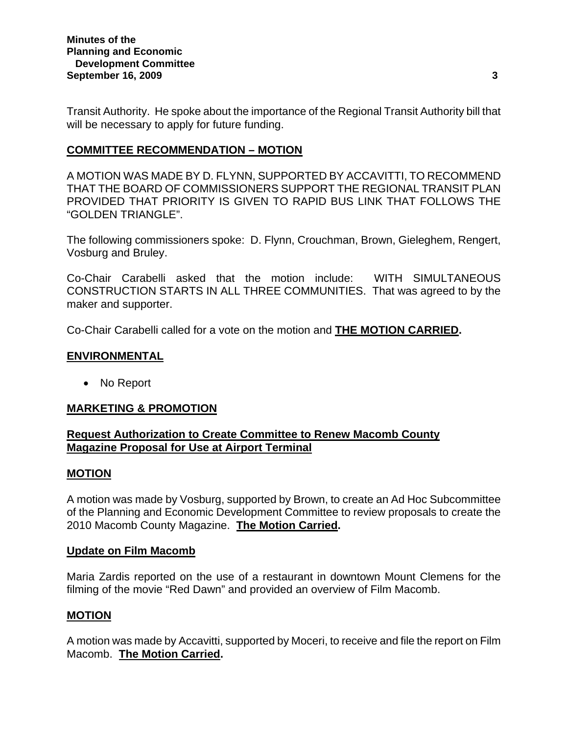Transit Authority. He spoke about the importance of the Regional Transit Authority bill that will be necessary to apply for future funding.

## **COMMITTEE RECOMMENDATION – MOTION**

A MOTION WAS MADE BY D. FLYNN, SUPPORTED BY ACCAVITTI, TO RECOMMEND THAT THE BOARD OF COMMISSIONERS SUPPORT THE REGIONAL TRANSIT PLAN PROVIDED THAT PRIORITY IS GIVEN TO RAPID BUS LINK THAT FOLLOWS THE "GOLDEN TRIANGLE".

The following commissioners spoke: D. Flynn, Crouchman, Brown, Gieleghem, Rengert, Vosburg and Bruley.

Co-Chair Carabelli asked that the motion include: WITH SIMULTANEOUS CONSTRUCTION STARTS IN ALL THREE COMMUNITIES. That was agreed to by the maker and supporter.

Co-Chair Carabelli called for a vote on the motion and **THE MOTION CARRIED.** 

## **ENVIRONMENTAL**

• No Report

## **MARKETING & PROMOTION**

## **Request Authorization to Create Committee to Renew Macomb County Magazine Proposal for Use at Airport Terminal**

## **MOTION**

A motion was made by Vosburg, supported by Brown, to create an Ad Hoc Subcommittee of the Planning and Economic Development Committee to review proposals to create the 2010 Macomb County Magazine. **The Motion Carried.** 

## **Update on Film Macomb**

Maria Zardis reported on the use of a restaurant in downtown Mount Clemens for the filming of the movie "Red Dawn" and provided an overview of Film Macomb.

# **MOTION**

A motion was made by Accavitti, supported by Moceri, to receive and file the report on Film Macomb. **The Motion Carried.**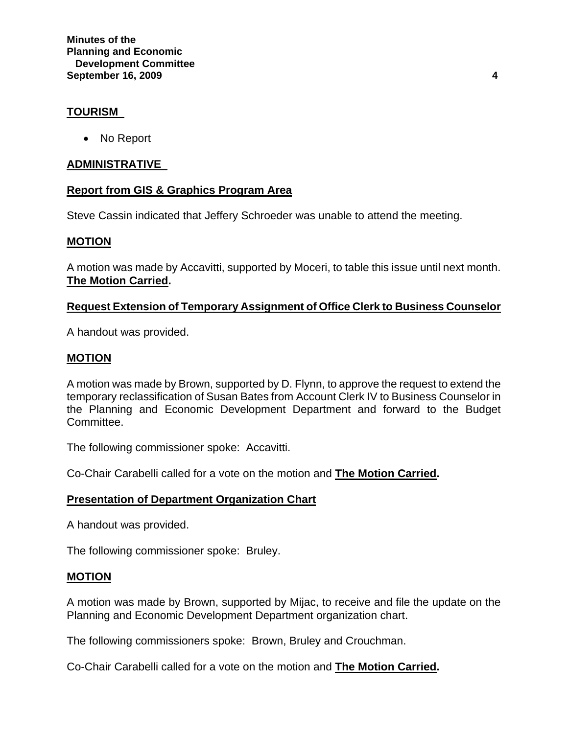## **TOURISM**

• No Report

## **ADMINISTRATIVE**

## **Report from GIS & Graphics Program Area**

Steve Cassin indicated that Jeffery Schroeder was unable to attend the meeting.

### **MOTION**

A motion was made by Accavitti, supported by Moceri, to table this issue until next month. **The Motion Carried.** 

## **Request Extension of Temporary Assignment of Office Clerk to Business Counselor**

A handout was provided.

### **MOTION**

A motion was made by Brown, supported by D. Flynn, to approve the request to extend the temporary reclassification of Susan Bates from Account Clerk IV to Business Counselor in the Planning and Economic Development Department and forward to the Budget Committee.

The following commissioner spoke: Accavitti.

Co-Chair Carabelli called for a vote on the motion and **The Motion Carried.**

### **Presentation of Department Organization Chart**

A handout was provided.

The following commissioner spoke: Bruley.

### **MOTION**

A motion was made by Brown, supported by Mijac, to receive and file the update on the Planning and Economic Development Department organization chart.

The following commissioners spoke: Brown, Bruley and Crouchman.

Co-Chair Carabelli called for a vote on the motion and **The Motion Carried.**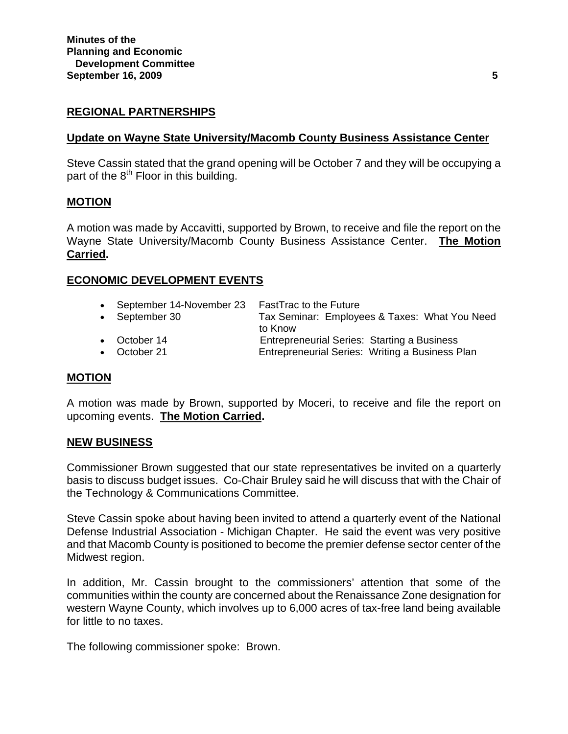## **REGIONAL PARTNERSHIPS**

### **Update on Wayne State University/Macomb County Business Assistance Center**

Steve Cassin stated that the grand opening will be October 7 and they will be occupying a part of the  $8<sup>th</sup>$  Floor in this building.

### **MOTION**

A motion was made by Accavitti, supported by Brown, to receive and file the report on the Wayne State University/Macomb County Business Assistance Center. **The Motion Carried.** 

### **ECONOMIC DEVELOPMENT EVENTS**

| • September 14-November 23 | <b>FastTrac to the Future</b>                   |
|----------------------------|-------------------------------------------------|
| • September 30             | Tax Seminar: Employees & Taxes: What You Need   |
|                            | to Know                                         |
| • October 14               | Entrepreneurial Series: Starting a Business     |
| • October 21               | Entrepreneurial Series: Writing a Business Plan |

#### **MOTION**

A motion was made by Brown, supported by Moceri, to receive and file the report on upcoming events. **The Motion Carried.**

### **NEW BUSINESS**

Commissioner Brown suggested that our state representatives be invited on a quarterly basis to discuss budget issues. Co-Chair Bruley said he will discuss that with the Chair of the Technology & Communications Committee.

Steve Cassin spoke about having been invited to attend a quarterly event of the National Defense Industrial Association - Michigan Chapter. He said the event was very positive and that Macomb County is positioned to become the premier defense sector center of the Midwest region.

In addition, Mr. Cassin brought to the commissioners' attention that some of the communities within the county are concerned about the Renaissance Zone designation for western Wayne County, which involves up to 6,000 acres of tax-free land being available for little to no taxes.

The following commissioner spoke: Brown.